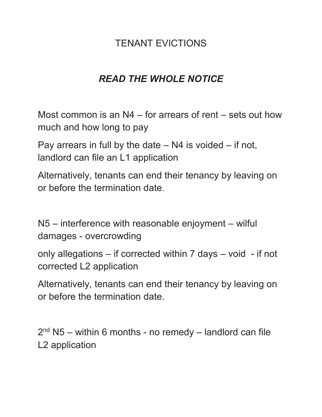### TENANT EVICTIONS

# *READ THE WHOLE NOTICE*

Most common is an N4 – for arrears of rent – sets out how much and how long to pay

Pay arrears in full by the date  $-$  N4 is voided  $-$  if not, landlord can file an L1 application

Alternatively, tenants can end their tenancy by leaving on or before the termination date.

N5 – interference with reasonable enjoyment – wilful damages - overcrowding

only allegations – if corrected within 7 days – void - if not corrected L2 application

Alternatively, tenants can end their tenancy by leaving on or before the termination date.

2<sup>nd</sup> N5 – within 6 months - no remedy – landlord can file L2 application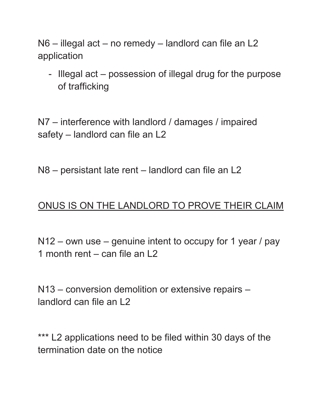N6 – illegal act – no remedy – landlord can file an L2 application

- Illegal act – possession of illegal drug for the purpose of trafficking

N7 – interference with landlord / damages / impaired safety – landlord can file an L2

N8 – persistant late rent – landlord can file an L2

#### ONUS IS ON THE LANDLORD TO PROVE THEIR CLAIM

N12 – own use – genuine intent to occupy for 1 year / pay 1 month rent – can file an L2

N13 – conversion demolition or extensive repairs – landlord can file an L2

\*\*\* L2 applications need to be filed within 30 days of the termination date on the notice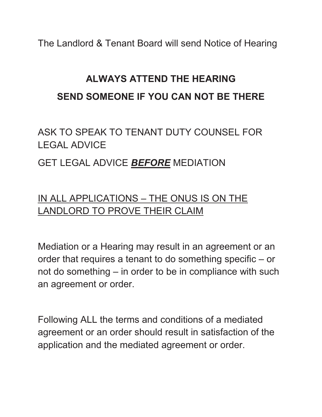The Landlord & Tenant Board will send Notice of Hearing

# **ALWAYS ATTEND THE HEARING SEND SOMEONE IF YOU CAN NOT BE THERE**

ASK TO SPEAK TO TENANT DUTY COUNSEL FOR LEGAL ADVICE

#### GET LEGAL ADVICE *BEFORE* MEDIATION

# IN ALL APPLICATIONS – THE ONUS IS ON THE LANDLORD TO PROVE THEIR CLAIM

Mediation or a Hearing may result in an agreement or an order that requires a tenant to do something specific – or not do something – in order to be in compliance with such an agreement or order.

Following ALL the terms and conditions of a mediated agreement or an order should result in satisfaction of the application and the mediated agreement or order.